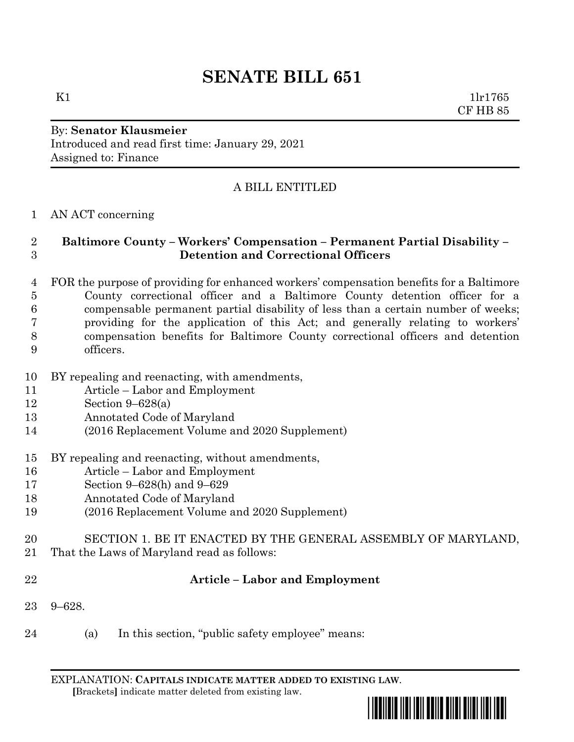# **SENATE BILL 651**

K1  $1\text{ln}1765$ CF HB 85

#### By: **Senator Klausmeier** Introduced and read first time: January 29, 2021 Assigned to: Finance

## A BILL ENTITLED

### AN ACT concerning

#### **Baltimore County – Workers' Compensation – Permanent Partial Disability – Detention and Correctional Officers**

- FOR the purpose of providing for enhanced workers' compensation benefits for a Baltimore County correctional officer and a Baltimore County detention officer for a compensable permanent partial disability of less than a certain number of weeks; providing for the application of this Act; and generally relating to workers' compensation benefits for Baltimore County correctional officers and detention officers.
- BY repealing and reenacting, with amendments,
- Article Labor and Employment
- Section 9–628(a)
- Annotated Code of Maryland
- (2016 Replacement Volume and 2020 Supplement)
- BY repealing and reenacting, without amendments,
- Article Labor and Employment
- Section 9–628(h) and 9–629
- Annotated Code of Maryland
- (2016 Replacement Volume and 2020 Supplement)
- SECTION 1. BE IT ENACTED BY THE GENERAL ASSEMBLY OF MARYLAND,
- That the Laws of Maryland read as follows:
- 

### **Article – Labor and Employment**

- 9–628.
- (a) In this section, "public safety employee" means:

EXPLANATION: **CAPITALS INDICATE MATTER ADDED TO EXISTING LAW**.  **[**Brackets**]** indicate matter deleted from existing law.

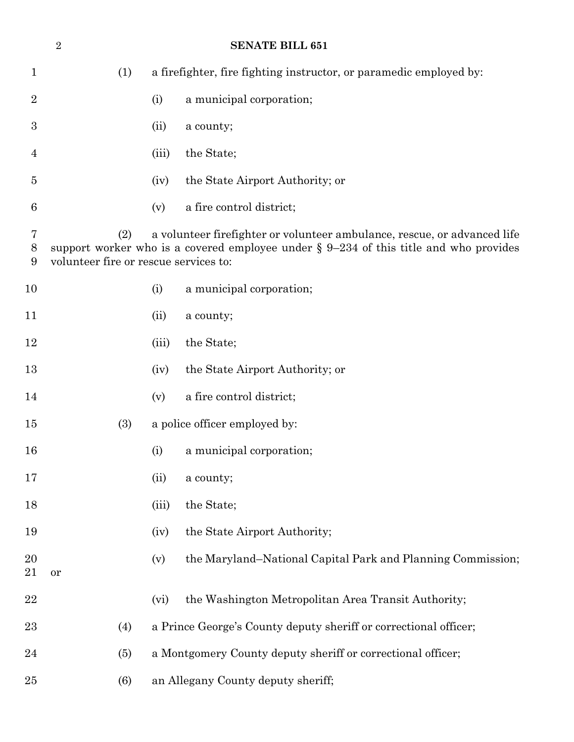|                  | <b>SENATE BILL 651</b><br>$\overline{2}$                                                                                                                                                                             |       |                                                                    |  |  |
|------------------|----------------------------------------------------------------------------------------------------------------------------------------------------------------------------------------------------------------------|-------|--------------------------------------------------------------------|--|--|
| $\mathbf 1$      | (1)                                                                                                                                                                                                                  |       | a firefighter, fire fighting instructor, or paramedic employed by: |  |  |
| $\overline{2}$   |                                                                                                                                                                                                                      | (i)   | a municipal corporation;                                           |  |  |
| $\boldsymbol{3}$ |                                                                                                                                                                                                                      | (ii)  | a county;                                                          |  |  |
| 4                |                                                                                                                                                                                                                      | (iii) | the State;                                                         |  |  |
| 5                |                                                                                                                                                                                                                      | (iv)  | the State Airport Authority; or                                    |  |  |
| 6                |                                                                                                                                                                                                                      | (v)   | a fire control district;                                           |  |  |
| 7<br>8<br>9      | (2)<br>a volunteer firefighter or volunteer ambulance, rescue, or advanced life<br>support worker who is a covered employee under $\S 9-234$ of this title and who provides<br>volunteer fire or rescue services to: |       |                                                                    |  |  |
| 10               |                                                                                                                                                                                                                      | (i)   | a municipal corporation;                                           |  |  |
| 11               |                                                                                                                                                                                                                      | (ii)  | a county;                                                          |  |  |
| 12               |                                                                                                                                                                                                                      | (iii) | the State;                                                         |  |  |
| 13               |                                                                                                                                                                                                                      | (iv)  | the State Airport Authority; or                                    |  |  |
| 14               |                                                                                                                                                                                                                      | (v)   | a fire control district;                                           |  |  |
| 15               | (3)                                                                                                                                                                                                                  |       | a police officer employed by:                                      |  |  |
| 16               |                                                                                                                                                                                                                      | (i)   | a municipal corporation;                                           |  |  |
| 17               |                                                                                                                                                                                                                      | (ii)  | a county;                                                          |  |  |
| 18               |                                                                                                                                                                                                                      | (iii) | the State;                                                         |  |  |
| 19               |                                                                                                                                                                                                                      | (iv)  | the State Airport Authority;                                       |  |  |
| 20<br>21         | or                                                                                                                                                                                                                   | (v)   | the Maryland–National Capital Park and Planning Commission;        |  |  |
| 22               |                                                                                                                                                                                                                      | (vi)  | the Washington Metropolitan Area Transit Authority;                |  |  |
| 23               | (4)                                                                                                                                                                                                                  |       | a Prince George's County deputy sheriff or correctional officer;   |  |  |
| 24               | (5)                                                                                                                                                                                                                  |       | a Montgomery County deputy sheriff or correctional officer;        |  |  |
| 25               | (6)                                                                                                                                                                                                                  |       | an Allegany County deputy sheriff;                                 |  |  |